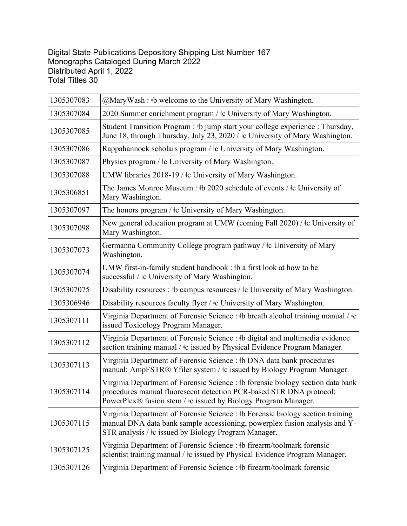## Digital State Publications Depository Shipping List Number 167 Monographs Cataloged During March 2022 Distributed April 1, 2022 Total Titles 30

| 1305307083 | $@$ MaryWash : #b welcome to the University of Mary Washington.                                                                                                                                                           |
|------------|---------------------------------------------------------------------------------------------------------------------------------------------------------------------------------------------------------------------------|
| 1305307084 | 2020 Summer enrichment program / $\pm c$ University of Mary Washington.                                                                                                                                                   |
| 1305307085 | Student Transition Program : #b jump start your college experience : Thursday,<br>June 18, through Thursday, July 23, 2020 / ‡c University of Mary Washington.                                                            |
| 1305307086 | Rappahannock scholars program / $\pm$ c University of Mary Washington.                                                                                                                                                    |
| 1305307087 | Physics program / ‡c University of Mary Washington.                                                                                                                                                                       |
| 1305307088 | UMW libraries 2018-19 / ‡c University of Mary Washington.                                                                                                                                                                 |
| 1305306851 | The James Monroe Museum : #b 2020 schedule of events / $\pm$ c University of<br>Mary Washington.                                                                                                                          |
| 1305307097 | The honors program / $\pm c$ University of Mary Washington.                                                                                                                                                               |
| 1305307098 | New general education program at UMW (coming Fall 2020) / $\pm$ c University of<br>Mary Washington.                                                                                                                       |
| 1305307073 | Germanna Community College program pathway / ‡c University of Mary<br>Washington.                                                                                                                                         |
| 1305307074 | UMW first-in-family student handbook : #b a first look at how to be<br>successful / $\pm$ c University of Mary Washington.                                                                                                |
| 1305307075 | Disability resources : $\#b$ campus resources / $\#c$ University of Mary Washington.                                                                                                                                      |
|            |                                                                                                                                                                                                                           |
| 1305306946 | Disability resources faculty flyer / ‡c University of Mary Washington.                                                                                                                                                    |
| 1305307111 | Virginia Department of Forensic Science : #b breath alcohol training manual / $\pm c$<br>issued Toxicology Program Manager.                                                                                               |
| 1305307112 | Virginia Department of Forensic Science : #b digital and multimedia evidence<br>section training manual / $\pm$ c issued by Physical Evidence Program Manager.                                                            |
| 1305307113 | Virginia Department of Forensic Science : #b DNA data bank procedures<br>manual: AmpFSTR® Yfiler system / ‡c issued by Biology Program Manager.                                                                           |
| 1305307114 | Virginia Department of Forensic Science : #b forensic biology section data bank<br>procedures manual fluorescent detection PCR-based STR DNA protocol:<br>PowerPlex® fusion stem / ‡c issued by Biology Program Manager.  |
| 1305307115 | Virginia Department of Forensic Science : #b Forensic biology section training<br>manual DNA data bank sample accessioning, powerplex fusion analysis and Y-<br>STR analysis / $\pm c$ issued by Biology Program Manager. |
| 1305307125 | Virginia Department of Forensic Science : #b firearm/toolmark forensic<br>scientist training manual / $\pm c$ issued by Physical Evidence Program Manager.                                                                |